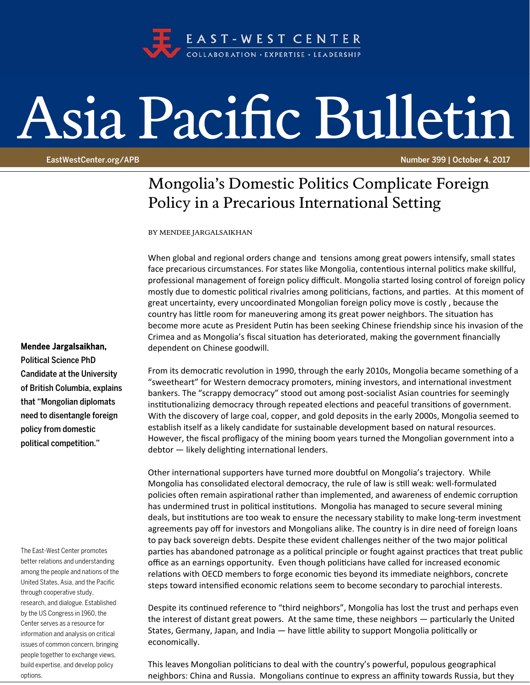

## Asia Pacific Bulletin

EastWestCenter.org/APB Number 399 | October 4, 2017

## Mongolia's Domestic Politics Complicate Foreign Policy in a Precarious International Setting

BY MENDEE JARGALSAIKHAN

When global and regional orders change and tensions among great powers intensify, small states face precarious circumstances. For states like Mongolia, contentious internal politics make skillful, professional management of foreign policy difficult. Mongolia started losing control of foreign policy mostly due to domestic political rivalries among politicians, factions, and parties. At this moment of great uncertainty, every uncoordinated Mongolian foreign policy move is costly , because the country has little room for maneuvering among its great power neighbors. The situation has become more acute as President Putin has been seeking Chinese friendship since his invasion of the Crimea and as Mongolia's fiscal situation has deteriorated, making the government financially dependent on Chinese goodwill.

From its democratic revolution in 1990, through the early 2010s, Mongolia became something of a "sweetheart" for Western democracy promoters, mining investors, and international investment bankers. The "scrappy democracy" stood out among post‐socialist Asian countries for seemingly institutionalizing democracy through repeated elections and peaceful transitions of government. With the discovery of large coal, copper, and gold deposits in the early 2000s, Mongolia seemed to establish itself as a likely candidate for sustainable development based on natural resources. However, the fiscal profligacy of the mining boom years turned the Mongolian government into a debtor - likely delighting international lenders.

Other international supporters have turned more doubtful on Mongolia's trajectory. While Mongolia has consolidated electoral democracy, the rule of law is still weak: well-formulated policies often remain aspirational rather than implemented, and awareness of endemic corruption has undermined trust in political institutions. Mongolia has managed to secure several mining deals, but institutions are too weak to ensure the necessary stability to make long-term investment agreements pay off for investors and Mongolians alike. The country is in dire need of foreign loans to pay back sovereign debts. Despite these evident challenges neither of the two major political parties has abandoned patronage as a political principle or fought against practices that treat public office as an earnings opportunity. Even though politicians have called for increased economic relations with OECD members to forge economic ties beyond its immediate neighbors, concrete steps toward intensified economic relations seem to become secondary to parochial interests.

Despite its continued reference to "third neighbors", Mongolia has lost the trust and perhaps even the interest of distant great powers. At the same time, these neighbors — particularly the United States, Germany, Japan, and India — have little ability to support Mongolia politically or economically.

This leaves Mongolian politicians to deal with the country's powerful, populous geographical neighbors: China and Russia. Mongolians continue to express an affinity towards Russia, but they

## Mendee Jargalsaikhan,

Political Science PhD Candidate at the University of British Columbia, explains that "Mongolian diplomats need to disentangle foreign policy from domestic political competition."

The East-West Center promotes better relations and understanding among the people and nations of the United States, Asia, and the Pacific through cooperative study, research, and dialogue. Established by the US Congress in 1960, the Center serves as a resource for information and analysis on critical issues of common concern, bringing people together to exchange views, build expertise, and develop policy options.